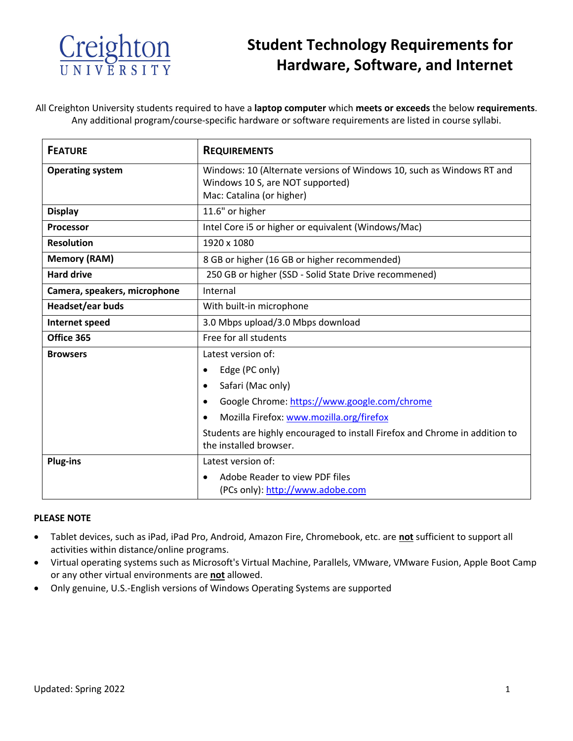

## **Student Technology Requirements for Hardware, Software, and Internet**

All Creighton University students required to have a **laptop computer** which **meets or exceeds** the below **requirements**. Any additional program/course-specific hardware or software requirements are listed in course syllabi.

| <b>FEATURE</b>               | <b>REQUIREMENTS</b>                                                                                                                    |
|------------------------------|----------------------------------------------------------------------------------------------------------------------------------------|
| <b>Operating system</b>      | Windows: 10 (Alternate versions of Windows 10, such as Windows RT and<br>Windows 10 S, are NOT supported)<br>Mac: Catalina (or higher) |
| <b>Display</b>               | 11.6" or higher                                                                                                                        |
| <b>Processor</b>             | Intel Core i5 or higher or equivalent (Windows/Mac)                                                                                    |
| Resolution                   | 1920 x 1080                                                                                                                            |
| <b>Memory (RAM)</b>          | 8 GB or higher (16 GB or higher recommended)                                                                                           |
| <b>Hard drive</b>            | 250 GB or higher (SSD - Solid State Drive recommened)                                                                                  |
| Camera, speakers, microphone | Internal                                                                                                                               |
| Headset/ear buds             | With built-in microphone                                                                                                               |
| Internet speed               | 3.0 Mbps upload/3.0 Mbps download                                                                                                      |
| Office 365                   | Free for all students                                                                                                                  |
| <b>Browsers</b>              | Latest version of:                                                                                                                     |
|                              | Edge (PC only)                                                                                                                         |
|                              | Safari (Mac only)                                                                                                                      |
|                              | Google Chrome: https://www.google.com/chrome                                                                                           |
|                              | Mozilla Firefox: www.mozilla.org/firefox                                                                                               |
|                              | Students are highly encouraged to install Firefox and Chrome in addition to<br>the installed browser.                                  |
| <b>Plug-ins</b>              | Latest version of:                                                                                                                     |
|                              | Adobe Reader to view PDF files<br>(PCs only): http://www.adobe.com                                                                     |

#### **PLEASE NOTE**

- Tablet devices, such as iPad, iPad Pro, Android, Amazon Fire, Chromebook, etc. are **not** sufficient to support all activities within distance/online programs.
- Virtual operating systems such as Microsoft's Virtual Machine, Parallels, VMware, VMware Fusion, Apple Boot Camp or any other virtual environments are **not** allowed.
- Only genuine, U.S.-English versions of Windows Operating Systems are supported